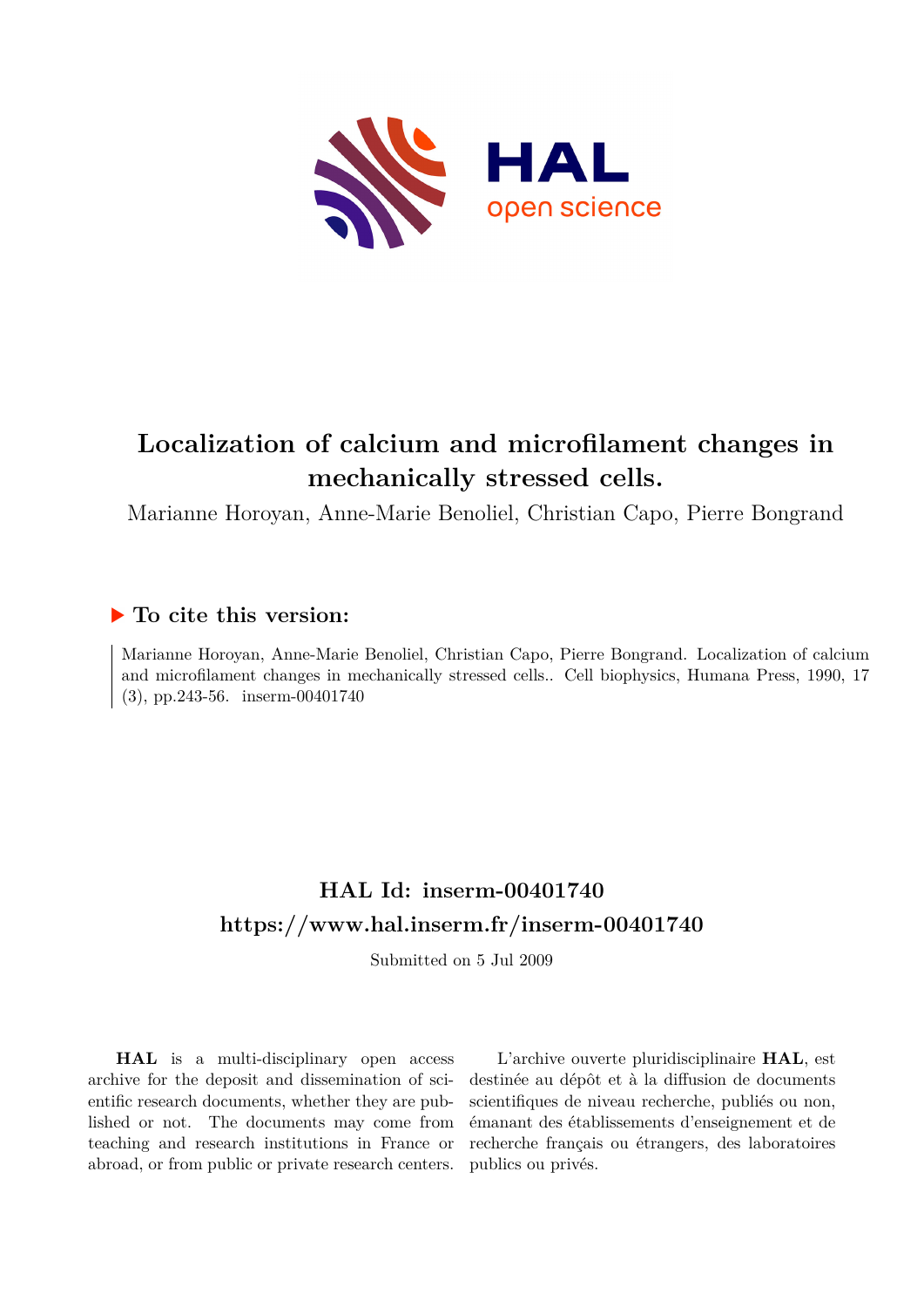

# **Localization of calcium and microfilament changes in mechanically stressed cells.**

Marianne Horoyan, Anne-Marie Benoliel, Christian Capo, Pierre Bongrand

## **To cite this version:**

Marianne Horoyan, Anne-Marie Benoliel, Christian Capo, Pierre Bongrand. Localization of calcium and microfilament changes in mechanically stressed cells.. Cell biophysics, Humana Press, 1990, 17  $(3)$ , pp.243-56. inserm-00401740

# **HAL Id: inserm-00401740 <https://www.hal.inserm.fr/inserm-00401740>**

Submitted on 5 Jul 2009

**HAL** is a multi-disciplinary open access archive for the deposit and dissemination of scientific research documents, whether they are published or not. The documents may come from teaching and research institutions in France or abroad, or from public or private research centers.

L'archive ouverte pluridisciplinaire **HAL**, est destinée au dépôt et à la diffusion de documents scientifiques de niveau recherche, publiés ou non, émanant des établissements d'enseignement et de recherche français ou étrangers, des laboratoires publics ou privés.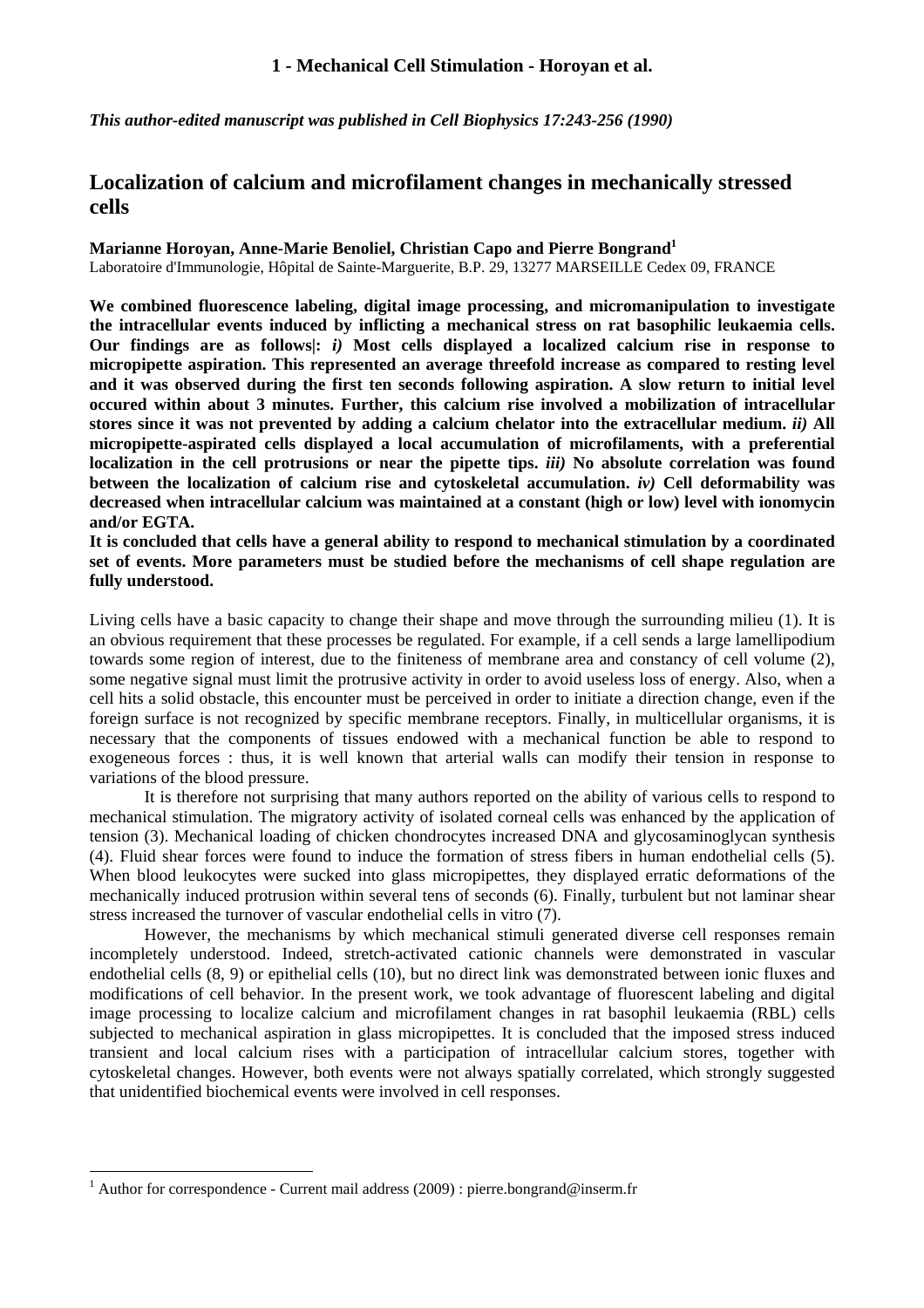*This author-edited manuscript was published in Cell Biophysics 17:243-256 (1990)* 

### **Localization of calcium and microfilament changes in mechanically stressed cells**

**Marianne Horoyan, Anne-Marie Benoliel, Christian Capo and Pierre Bongrand<sup>1</sup>** Laboratoire d'Immunologie, Hôpital de Sainte-Marguerite, B.P. 29, 13277 MARSEILLE Cedex 09, FRANCE

**We combined fluorescence labeling, digital image processing, and micromanipulation to investigate the intracellular events induced by inflicting a mechanical stress on rat basophilic leukaemia cells. Our findings are as follows|:** *i)* **Most cells displayed a localized calcium rise in response to micropipette aspiration. This represented an average threefold increase as compared to resting level and it was observed during the first ten seconds following aspiration. A slow return to initial level occured within about 3 minutes. Further, this calcium rise involved a mobilization of intracellular stores since it was not prevented by adding a calcium chelator into the extracellular medium.** *ii)* **All micropipette-aspirated cells displayed a local accumulation of microfilaments, with a preferential localization in the cell protrusions or near the pipette tips.** *iii)* **No absolute correlation was found between the localization of calcium rise and cytoskeletal accumulation.** *iv)* **Cell deformability was decreased when intracellular calcium was maintained at a constant (high or low) level with ionomycin and/or EGTA.** 

**It is concluded that cells have a general ability to respond to mechanical stimulation by a coordinated set of events. More parameters must be studied before the mechanisms of cell shape regulation are fully understood.** 

Living cells have a basic capacity to change their shape and move through the surrounding milieu (1). It is an obvious requirement that these processes be regulated. For example, if a cell sends a large lamellipodium towards some region of interest, due to the finiteness of membrane area and constancy of cell volume (2), some negative signal must limit the protrusive activity in order to avoid useless loss of energy. Also, when a cell hits a solid obstacle, this encounter must be perceived in order to initiate a direction change, even if the foreign surface is not recognized by specific membrane receptors. Finally, in multicellular organisms, it is necessary that the components of tissues endowed with a mechanical function be able to respond to exogeneous forces : thus, it is well known that arterial walls can modify their tension in response to variations of the blood pressure.

 It is therefore not surprising that many authors reported on the ability of various cells to respond to mechanical stimulation. The migratory activity of isolated corneal cells was enhanced by the application of tension (3). Mechanical loading of chicken chondrocytes increased DNA and glycosaminoglycan synthesis (4). Fluid shear forces were found to induce the formation of stress fibers in human endothelial cells (5). When blood leukocytes were sucked into glass micropipettes, they displayed erratic deformations of the mechanically induced protrusion within several tens of seconds (6). Finally, turbulent but not laminar shear stress increased the turnover of vascular endothelial cells in vitro (7).

 However, the mechanisms by which mechanical stimuli generated diverse cell responses remain incompletely understood. Indeed, stretch-activated cationic channels were demonstrated in vascular endothelial cells (8, 9) or epithelial cells (10), but no direct link was demonstrated between ionic fluxes and modifications of cell behavior. In the present work, we took advantage of fluorescent labeling and digital image processing to localize calcium and microfilament changes in rat basophil leukaemia (RBL) cells subjected to mechanical aspiration in glass micropipettes. It is concluded that the imposed stress induced transient and local calcium rises with a participation of intracellular calcium stores, together with cytoskeletal changes. However, both events were not always spatially correlated, which strongly suggested that unidentified biochemical events were involved in cell responses.

 $\overline{a}$ 

<sup>&</sup>lt;sup>1</sup> Author for correspondence - Current mail address (2009) : pierre.bongrand@inserm.fr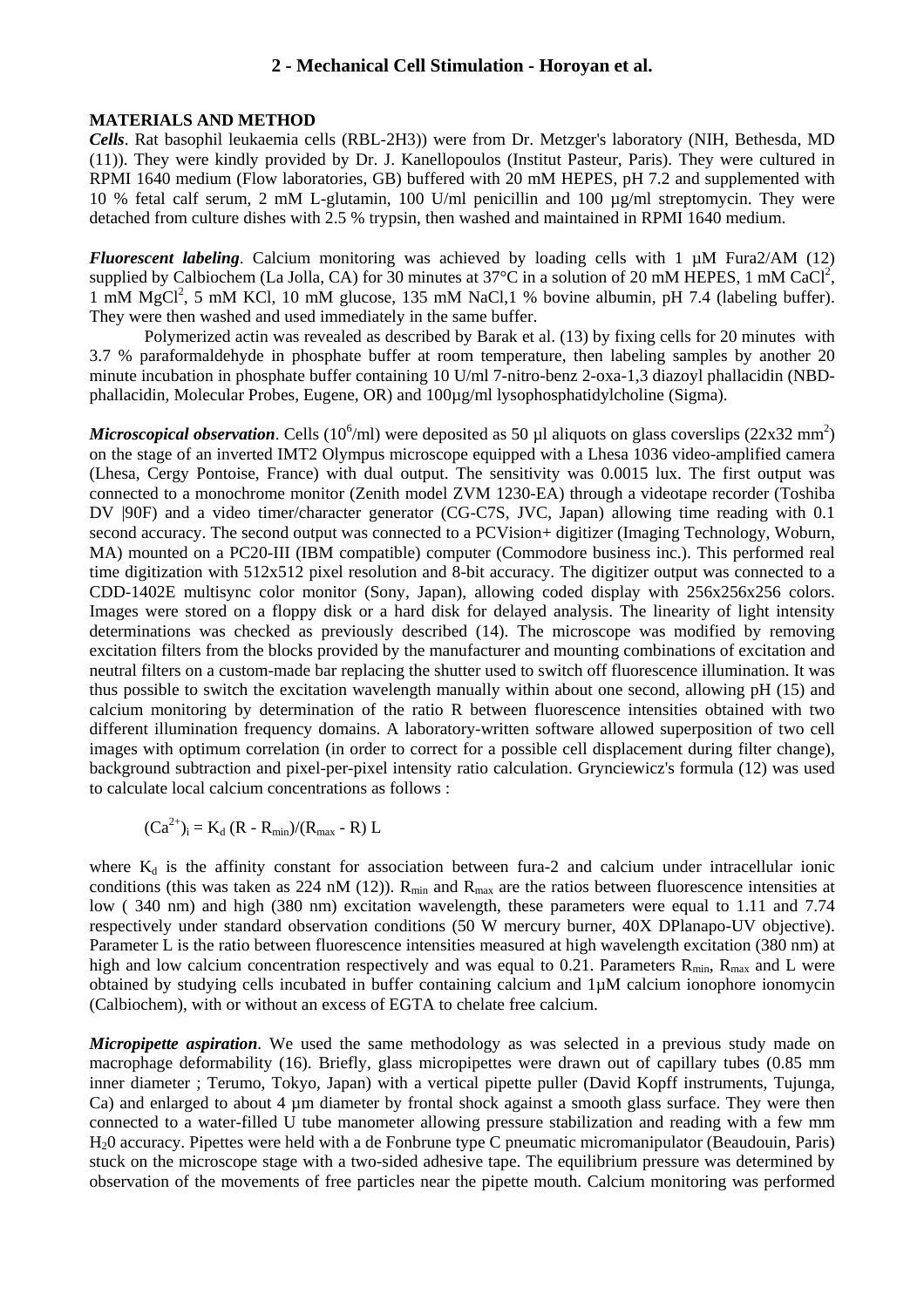#### **MATERIALS AND METHOD**

*Cells*. Rat basophil leukaemia cells (RBL-2H3)) were from Dr. Metzger's laboratory (NIH, Bethesda, MD (11)). They were kindly provided by Dr. J. Kanellopoulos (Institut Pasteur, Paris). They were cultured in RPMI 1640 medium (Flow laboratories, GB) buffered with 20 mM HEPES, pH 7.2 and supplemented with 10 % fetal calf serum, 2 mM L-glutamin, 100 U/ml penicillin and 100 µg/ml streptomycin. They were detached from culture dishes with 2.5 % trypsin, then washed and maintained in RPMI 1640 medium.

*Fluorescent labeling*. Calcium monitoring was achieved by loading cells with 1 µM Fura2/AM (12) supplied by Calbiochem (La Jolla, CA) for 30 minutes at 37 $\degree$ C in a solution of 20 mM HEPES, 1 mM CaCl<sup>2</sup>, 1 mM MgCl<sup>2</sup>, 5 mM KCl, 10 mM glucose, 135 mM NaCl,1 % bovine albumin, pH 7.4 (labeling buffer). They were then washed and used immediately in the same buffer.

 Polymerized actin was revealed as described by Barak et al. (13) by fixing cells for 20 minutes with 3.7 % paraformaldehyde in phosphate buffer at room temperature, then labeling samples by another 20 minute incubation in phosphate buffer containing 10 U/ml 7-nitro-benz 2-oxa-1,3 diazoyl phallacidin (NBDphallacidin, Molecular Probes, Eugene, OR) and 100µg/ml lysophosphatidylcholine (Sigma).

*Microscopical observation*. Cells (10<sup>6</sup>/ml) were deposited as 50 µl aliquots on glass coverslips (22x32 mm<sup>2</sup>) on the stage of an inverted IMT2 Olympus microscope equipped with a Lhesa 1036 video-amplified camera (Lhesa, Cergy Pontoise, France) with dual output. The sensitivity was 0.0015 lux. The first output was connected to a monochrome monitor (Zenith model ZVM 1230-EA) through a videotape recorder (Toshiba DV |90F) and a video timer/character generator (CG-C7S, JVC, Japan) allowing time reading with 0.1 second accuracy. The second output was connected to a PCVision+ digitizer (Imaging Technology, Woburn, MA) mounted on a PC20-III (IBM compatible) computer (Commodore business inc.). This performed real time digitization with 512x512 pixel resolution and 8-bit accuracy. The digitizer output was connected to a CDD-1402E multisync color monitor (Sony, Japan), allowing coded display with 256x256x256 colors. Images were stored on a floppy disk or a hard disk for delayed analysis. The linearity of light intensity determinations was checked as previously described (14). The microscope was modified by removing excitation filters from the blocks provided by the manufacturer and mounting combinations of excitation and neutral filters on a custom-made bar replacing the shutter used to switch off fluorescence illumination. It was thus possible to switch the excitation wavelength manually within about one second, allowing pH (15) and calcium monitoring by determination of the ratio R between fluorescence intensities obtained with two different illumination frequency domains. A laboratory-written software allowed superposition of two cell images with optimum correlation (in order to correct for a possible cell displacement during filter change), background subtraction and pixel-per-pixel intensity ratio calculation. Grynciewicz's formula (12) was used to calculate local calcium concentrations as follows :

 $(Ca^{2+})_i = K_d (R - R_{min})/(R_{max} - R) L$ 

where  $K_d$  is the affinity constant for association between fura-2 and calcium under intracellular ionic conditions (this was taken as 224 nM (12)).  $R_{min}$  and  $R_{max}$  are the ratios between fluorescence intensities at low ( 340 nm) and high (380 nm) excitation wavelength, these parameters were equal to 1.11 and 7.74 respectively under standard observation conditions (50 W mercury burner, 40X DPlanapo-UV objective). Parameter L is the ratio between fluorescence intensities measured at high wavelength excitation (380 nm) at high and low calcium concentration respectively and was equal to 0.21. Parameters  $R_{min}$ ,  $R_{max}$  and L were obtained by studying cells incubated in buffer containing calcium and 1µM calcium ionophore ionomycin (Calbiochem), with or without an excess of EGTA to chelate free calcium.

*Micropipette aspiration*. We used the same methodology as was selected in a previous study made on macrophage deformability (16). Briefly, glass micropipettes were drawn out of capillary tubes (0.85 mm inner diameter ; Terumo, Tokyo, Japan) with a vertical pipette puller (David Kopff instruments, Tujunga, Ca) and enlarged to about 4 µm diameter by frontal shock against a smooth glass surface. They were then connected to a water-filled U tube manometer allowing pressure stabilization and reading with a few mm H20 accuracy. Pipettes were held with a de Fonbrune type C pneumatic micromanipulator (Beaudouin, Paris) stuck on the microscope stage with a two-sided adhesive tape. The equilibrium pressure was determined by observation of the movements of free particles near the pipette mouth. Calcium monitoring was performed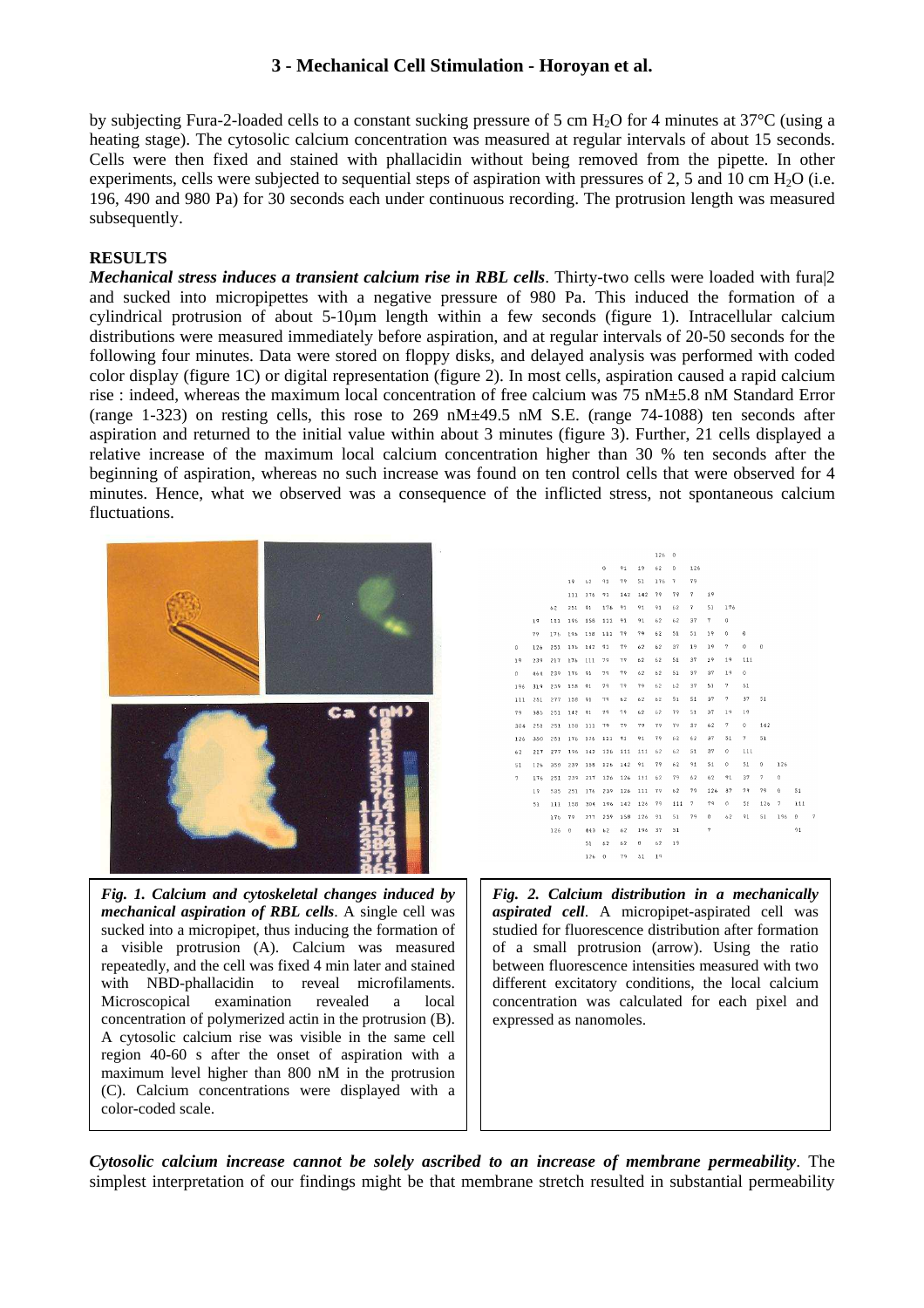by subjecting Fura-2-loaded cells to a constant sucking pressure of 5 cm H<sub>2</sub>O for 4 minutes at  $37^{\circ}$ C (using a heating stage). The cytosolic calcium concentration was measured at regular intervals of about 15 seconds. Cells were then fixed and stained with phallacidin without being removed from the pipette. In other experiments, cells were subjected to sequential steps of aspiration with pressures of  $2, 5$  and  $10 \text{ cm H}_2\text{O}$  (i.e. 196, 490 and 980 Pa) for 30 seconds each under continuous recording. The protrusion length was measured subsequently.

#### **RESULTS**

*Mechanical stress induces a transient calcium rise in RBL cells*. Thirty-two cells were loaded with fura|2 and sucked into micropipettes with a negative pressure of 980 Pa. This induced the formation of a cylindrical protrusion of about 5-10µm length within a few seconds (figure 1). Intracellular calcium distributions were measured immediately before aspiration, and at regular intervals of 20-50 seconds for the following four minutes. Data were stored on floppy disks, and delayed analysis was performed with coded color display (figure 1C) or digital representation (figure 2). In most cells, aspiration caused a rapid calcium rise : indeed, whereas the maximum local concentration of free calcium was 75 nM±5.8 nM Standard Error (range 1-323) on resting cells, this rose to 269 nM±49.5 nM S.E. (range 74-1088) ten seconds after aspiration and returned to the initial value within about 3 minutes (figure 3). Further, 21 cells displayed a relative increase of the maximum local calcium concentration higher than 30 % ten seconds after the beginning of aspiration, whereas no such increase was found on ten control cells that were observed for 4 minutes. Hence, what we observed was a consequence of the inflicted stress, not spontaneous calcium fluctuations.



*Fig. 1. Calcium and cytoskeletal changes induced by mechanical aspiration of RBL cells*. A single cell was sucked into a micropipet, thus inducing the formation of a visible protrusion (A). Calcium was measured repeatedly, and the cell was fixed 4 min later and stained with NBD-phallacidin to reveal microfilaments. Microscopical examination revealed a local concentration of polymerized actin in the protrusion (B). A cytosolic calcium rise was visible in the same cell region 40-60 s after the onset of aspiration with a maximum level higher than 800 nM in the protrusion (C). Calcium concentrations were displayed with a color-coded scale.



*Fig. 2. Calcium distribution in a mechanically aspirated cell*. A micropipet-aspirated cell was studied for fluorescence distribution after formation of a small protrusion (arrow). Using the ratio between fluorescence intensities measured with two different excitatory conditions, the local calcium concentration was calculated for each pixel and expressed as nanomoles.

*Cytosolic calcium increase cannot be solely ascribed to an increase of membrane permeability*. The simplest interpretation of our findings might be that membrane stretch resulted in substantial permeability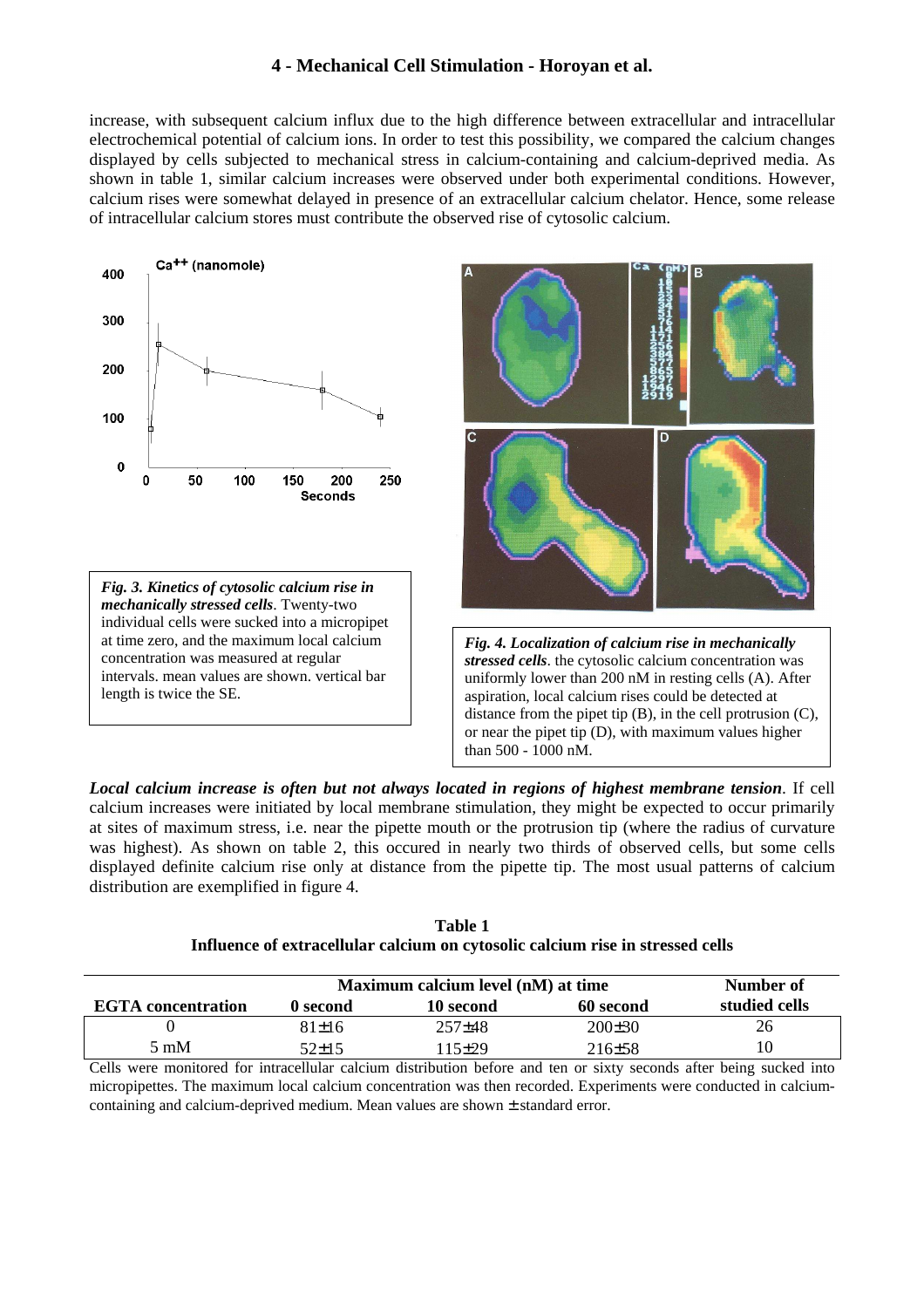increase, with subsequent calcium influx due to the high difference between extracellular and intracellular electrochemical potential of calcium ions. In order to test this possibility, we compared the calcium changes displayed by cells subjected to mechanical stress in calcium-containing and calcium-deprived media. As shown in table 1, similar calcium increases were observed under both experimental conditions. However, calcium rises were somewhat delayed in presence of an extracellular calcium chelator. Hence, some release of intracellular calcium stores must contribute the observed rise of cytosolic calcium.







*Fig. 4. Localization of calcium rise in mechanically stressed cells*. the cytosolic calcium concentration was uniformly lower than 200 nM in resting cells (A). After aspiration, local calcium rises could be detected at distance from the pipet tip  $(B)$ , in the cell protrusion  $(C)$ , or near the pipet tip (D), with maximum values higher than 500 - 1000 nM.

*Local calcium increase is often but not always located in regions of highest membrane tension*. If cell calcium increases were initiated by local membrane stimulation, they might be expected to occur primarily at sites of maximum stress, i.e. near the pipette mouth or the protrusion tip (where the radius of curvature was highest). As shown on table 2, this occured in nearly two thirds of observed cells, but some cells displayed definite calcium rise only at distance from the pipette tip. The most usual patterns of calcium distribution are exemplified in figure 4.

|                           | Maximum calcium level (nM) at time |            |            | Number of     |
|---------------------------|------------------------------------|------------|------------|---------------|
| <b>EGTA</b> concentration | 0 second                           | 10 second  | 60 second  | studied cells |
|                           | $81+16$                            | $257\pm48$ | $200\pm30$ | 26            |
| 5 mM                      | 52+15                              | 115+29     | $216 + 58$ | 10            |

**Table 1 Influence of extracellular calcium on cytosolic calcium rise in stressed cells** 

Cells were monitored for intracellular calcium distribution before and ten or sixty seconds after being sucked into micropipettes. The maximum local calcium concentration was then recorded. Experiments were conducted in calciumcontaining and calcium-deprived medium. Mean values are shown ± standard error.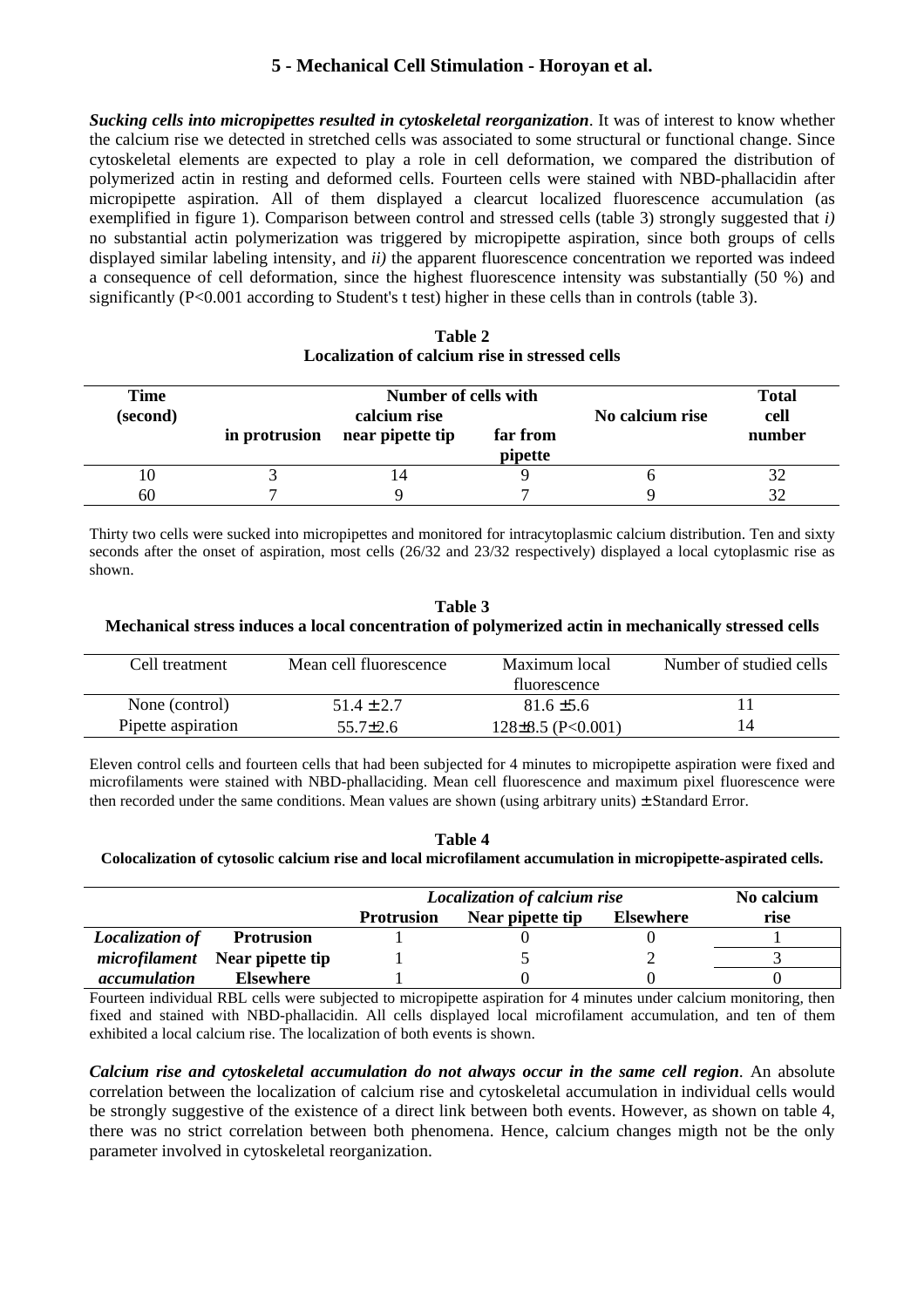*Sucking cells into micropipettes resulted in cytoskeletal reorganization*. It was of interest to know whether the calcium rise we detected in stretched cells was associated to some structural or functional change. Since cytoskeletal elements are expected to play a role in cell deformation, we compared the distribution of polymerized actin in resting and deformed cells. Fourteen cells were stained with NBD-phallacidin after micropipette aspiration. All of them displayed a clearcut localized fluorescence accumulation (as exemplified in figure 1). Comparison between control and stressed cells (table 3) strongly suggested that *i)* no substantial actin polymerization was triggered by micropipette aspiration, since both groups of cells displayed similar labeling intensity, and *ii)* the apparent fluorescence concentration we reported was indeed a consequence of cell deformation, since the highest fluorescence intensity was substantially (50 %) and significantly (P<0.001 according to Student's t test) higher in these cells than in controls (table 3).

| Table 2                                        |
|------------------------------------------------|
| Localization of calcium rise in stressed cells |

| Time     | Number of cells with |                  |                 | <b>Total</b> |        |
|----------|----------------------|------------------|-----------------|--------------|--------|
| (second) | calcium rise         |                  | No calcium rise | cell         |        |
|          | in protrusion        | near pipette tip | far from        |              | number |
|          |                      |                  | pipette         |              |        |
| 10       |                      |                  |                 |              |        |
| 60       |                      |                  |                 |              | 32     |

Thirty two cells were sucked into micropipettes and monitored for intracytoplasmic calcium distribution. Ten and sixty seconds after the onset of aspiration, most cells (26/32 and 23/32 respectively) displayed a local cytoplasmic rise as shown.

**Table 3 Mechanical stress induces a local concentration of polymerized actin in mechanically stressed cells** 

| Cell treatment     | Mean cell fluorescence | Maximum local<br>fluorescence |    |
|--------------------|------------------------|-------------------------------|----|
| None (control)     | $51.4 + 2.7$           | $81.6 \pm 5.6$                |    |
| Pipette aspiration | $55.7 \pm 2.6$         | $128\pm8.5$ (P<0.001)         | 14 |

Eleven control cells and fourteen cells that had been subjected for 4 minutes to micropipette aspiration were fixed and microfilaments were stained with NBD-phallaciding. Mean cell fluorescence and maximum pixel fluorescence were then recorded under the same conditions. Mean values are shown (using arbitrary units)  $\pm$  Standard Error.

**Table 4 Colocalization of cytosolic calcium rise and local microfilament accumulation in micropipette-aspirated cells.** 

|                        |                                       | <b>Localization of calcium rise</b> |                  |                  | No calcium |
|------------------------|---------------------------------------|-------------------------------------|------------------|------------------|------------|
|                        |                                       | <b>Protrusion</b>                   | Near pipette tip | <b>Elsewhere</b> | rise       |
| <b>Localization of</b> | <b>Protrusion</b>                     |                                     |                  |                  |            |
|                        | <i>microfilament</i> Near pipette tip |                                     |                  |                  |            |
| <i>accumulation</i>    | <b>Elsewhere</b>                      |                                     |                  |                  |            |

Fourteen individual RBL cells were subjected to micropipette aspiration for 4 minutes under calcium monitoring, then fixed and stained with NBD-phallacidin. All cells displayed local microfilament accumulation, and ten of them exhibited a local calcium rise. The localization of both events is shown.

*Calcium rise and cytoskeletal accumulation do not always occur in the same cell region*. An absolute correlation between the localization of calcium rise and cytoskeletal accumulation in individual cells would be strongly suggestive of the existence of a direct link between both events. However, as shown on table 4, there was no strict correlation between both phenomena. Hence, calcium changes migth not be the only parameter involved in cytoskeletal reorganization.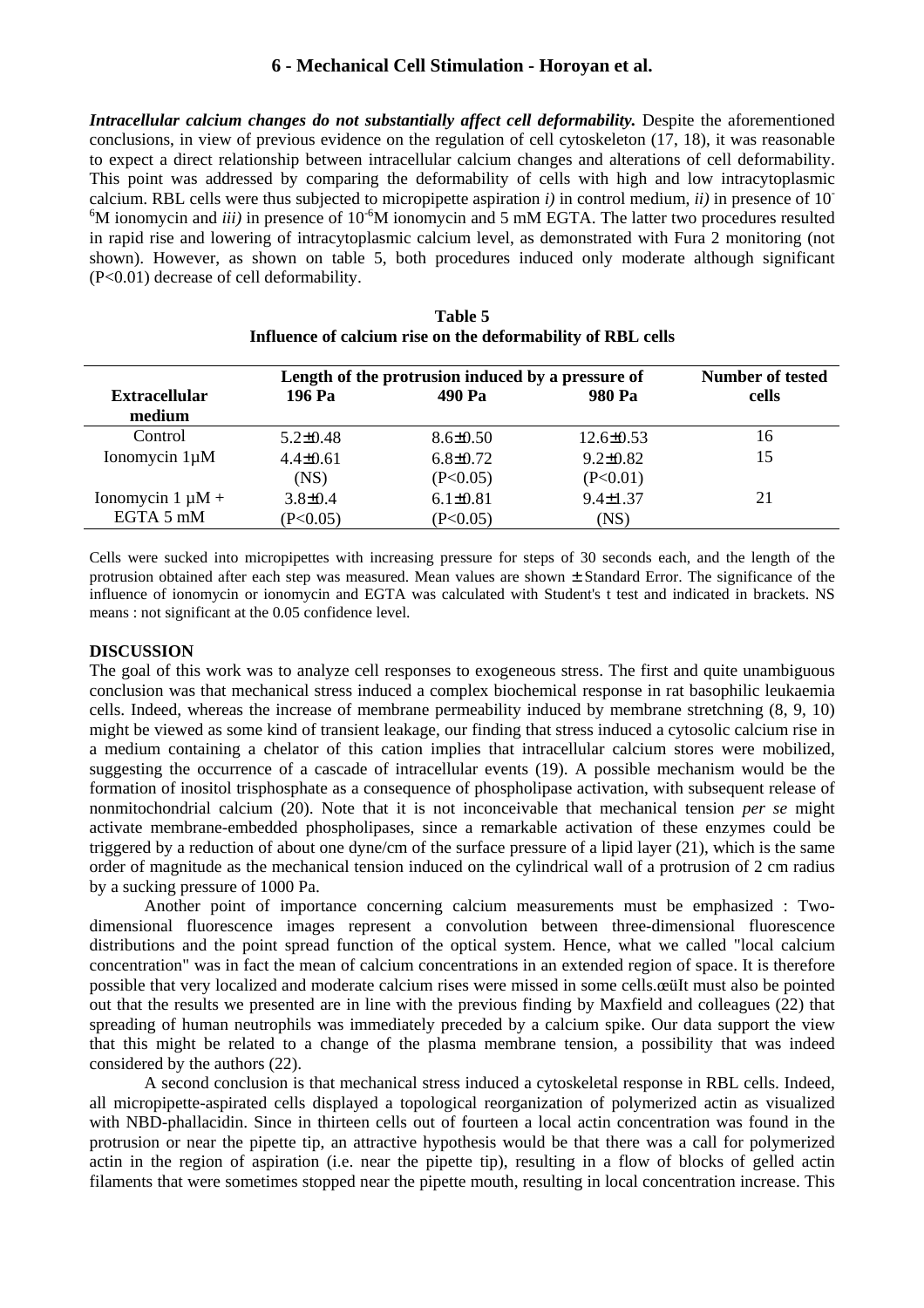*Intracellular calcium changes do not substantially affect cell deformability.* Despite the aforementioned conclusions, in view of previous evidence on the regulation of cell cytoskeleton (17, 18), it was reasonable to expect a direct relationship between intracellular calcium changes and alterations of cell deformability. This point was addressed by comparing the deformability of cells with high and low intracytoplasmic calcium. RBL cells were thus subjected to micropipette aspiration *i)* in control medium, *ii)* in presence of 10-  ${}^{6}$ M ionomycin and *iii*) in presence of 10<sup>-6</sup>M ionomycin and 5 mM EGTA. The latter two procedures resulted in rapid rise and lowering of intracytoplasmic calcium level, as demonstrated with Fura 2 monitoring (not shown). However, as shown on table 5, both procedures induced only moderate although significant (P<0.01) decrease of cell deformability.

|                       |                | Length of the protrusion induced by a pressure of |                |       |  |
|-----------------------|----------------|---------------------------------------------------|----------------|-------|--|
| <b>Extracellular</b>  | 196 Pa         | 490 Pa                                            | 980 Pa         | cells |  |
| medium                |                |                                                   |                |       |  |
| Control               | $5.2 \pm 0.48$ | $8.6 \pm 0.50$                                    | $12.6\pm 0.53$ | 16    |  |
| Ionomycin 1µM         | $4.4 \pm 0.61$ | $6.8 \pm 0.72$                                    | $9.2 \pm 0.82$ | 15    |  |
|                       | (NS)           | (P<0.05)                                          | (P<0.01)       |       |  |
| Ionomycin $1 \mu M +$ | $3.8 \pm 0.4$  | $6.1 \pm 0.81$                                    | $9.4 \pm 1.37$ | 21    |  |
| EGTA 5 mM             | (P<0.05)       | (P<0.05)                                          | (NS)           |       |  |

| Table 5                                                     |
|-------------------------------------------------------------|
| Influence of calcium rise on the deformability of RBL cells |

Cells were sucked into micropipettes with increasing pressure for steps of 30 seconds each, and the length of the protrusion obtained after each step was measured. Mean values are shown  $\pm$  Standard Error. The significance of the influence of ionomycin or ionomycin and EGTA was calculated with Student's t test and indicated in brackets. NS means : not significant at the 0.05 confidence level.

#### **DISCUSSION**

The goal of this work was to analyze cell responses to exogeneous stress. The first and quite unambiguous conclusion was that mechanical stress induced a complex biochemical response in rat basophilic leukaemia cells. Indeed, whereas the increase of membrane permeability induced by membrane stretchning (8, 9, 10) might be viewed as some kind of transient leakage, our finding that stress induced a cytosolic calcium rise in a medium containing a chelator of this cation implies that intracellular calcium stores were mobilized, suggesting the occurrence of a cascade of intracellular events (19). A possible mechanism would be the formation of inositol trisphosphate as a consequence of phospholipase activation, with subsequent release of nonmitochondrial calcium (20). Note that it is not inconceivable that mechanical tension *per se* might activate membrane-embedded phospholipases, since a remarkable activation of these enzymes could be triggered by a reduction of about one dyne/cm of the surface pressure of a lipid layer (21), which is the same order of magnitude as the mechanical tension induced on the cylindrical wall of a protrusion of 2 cm radius by a sucking pressure of 1000 Pa.

Another point of importance concerning calcium measurements must be emphasized : Twodimensional fluorescence images represent a convolution between three-dimensional fluorescence distributions and the point spread function of the optical system. Hence, what we called "local calcium concentration" was in fact the mean of calcium concentrations in an extended region of space. It is therefore possible that very localized and moderate calcium rises were missed in some cells. et all must also be pointed out that the results we presented are in line with the previous finding by Maxfield and colleagues (22) that spreading of human neutrophils was immediately preceded by a calcium spike. Our data support the view that this might be related to a change of the plasma membrane tension, a possibility that was indeed considered by the authors (22).

A second conclusion is that mechanical stress induced a cytoskeletal response in RBL cells. Indeed, all micropipette-aspirated cells displayed a topological reorganization of polymerized actin as visualized with NBD-phallacidin. Since in thirteen cells out of fourteen a local actin concentration was found in the protrusion or near the pipette tip, an attractive hypothesis would be that there was a call for polymerized actin in the region of aspiration (i.e. near the pipette tip), resulting in a flow of blocks of gelled actin filaments that were sometimes stopped near the pipette mouth, resulting in local concentration increase. This